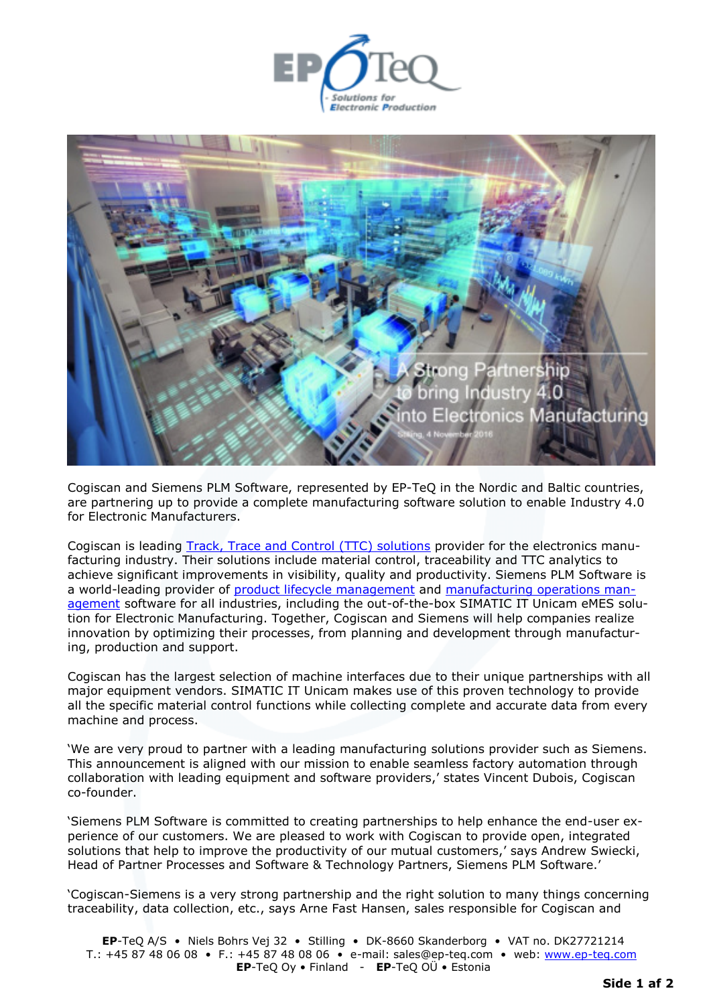



Cogiscan and Siemens PLM Software, represented by EP-TeQ in the Nordic and Baltic countries, are partnering up to provide a complete manufacturing software solution to enable Industry 4.0 for Electronic Manufacturers.

Cogiscan is leading [Track, Trace and Control \(TTC\) solutions](http://cogiscan.com/solutions/) provider for the electronics manufacturing industry. Their solutions include material control, traceability and TTC analytics to achieve significant improvements in visibility, quality and productivity. Siemens PLM Software is a world-leading provider of [product lifecycle management](https://www.plm.automation.siemens.com/en_us/plm/index.shtml) and [manufacturing operations man](https://www.plm.automation.siemens.com/en_us/plm/index.shtml)[agement](https://www.plm.automation.siemens.com/en_us/plm/index.shtml) software for all industries, including the out-of-the-box SIMATIC IT Unicam eMES solution for Electronic Manufacturing. Together, Cogiscan and Siemens will help companies realize innovation by optimizing their processes, from planning and development through manufacturing, production and support.

Cogiscan has the largest selection of machine interfaces due to their unique partnerships with all major equipment vendors. SIMATIC IT Unicam makes use of this proven technology to provide all the specific material control functions while collecting complete and accurate data from every machine and process.

'We are very proud to partner with a leading manufacturing solutions provider such as Siemens. This announcement is aligned with our mission to enable seamless factory automation through collaboration with leading equipment and software providers,' states Vincent Dubois, Cogiscan co-founder.

'Siemens PLM Software is committed to creating partnerships to help enhance the end-user experience of our customers. We are pleased to work with Cogiscan to provide open, integrated solutions that help to improve the productivity of our mutual customers,' says Andrew Swiecki, Head of Partner Processes and Software & Technology Partners, Siemens PLM Software.'

'Cogiscan-Siemens is a very strong partnership and the right solution to many things concerning traceability, data collection, etc., says Arne Fast Hansen, sales responsible for Cogiscan and